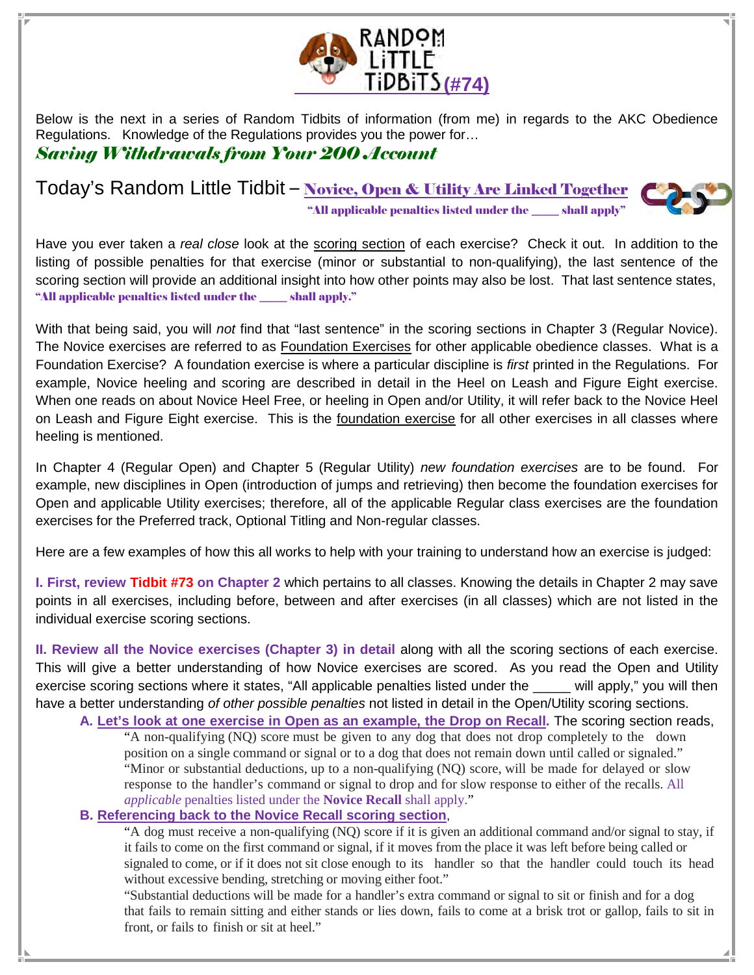

Below is the next in a series of Random Tidbits of information (from me) in regards to the AKC Obedience Regulations. Knowledge of the Regulations provides you the power for… Saving Withdrawals from Your 200 Account

Today's Random Little Tidbit - Novice, Open & Utility Are Linked Together "All applicable penalties listed under the \_\_\_\_\_ shall apply"



Have you ever taken a real close look at the scoring section of each exercise? Check it out. In addition to the listing of possible penalties for that exercise (minor or substantial to non-qualifying), the last sentence of the scoring section will provide an additional insight into how other points may also be lost. That last sentence states, "All applicable penalties listed under the \_\_\_\_\_ shall apply."

With that being said, you will not find that "last sentence" in the scoring sections in Chapter 3 (Regular Novice). The Novice exercises are referred to as Foundation Exercises for other applicable obedience classes. What is a Foundation Exercise? A foundation exercise is where a particular discipline is first printed in the Regulations. For example, Novice heeling and scoring are described in detail in the Heel on Leash and Figure Eight exercise. When one reads on about Novice Heel Free, or heeling in Open and/or Utility, it will refer back to the Novice Heel on Leash and Figure Eight exercise. This is the foundation exercise for all other exercises in all classes where heeling is mentioned.

In Chapter 4 (Regular Open) and Chapter 5 (Regular Utility) new foundation exercises are to be found. For example, new disciplines in Open (introduction of jumps and retrieving) then become the foundation exercises for Open and applicable Utility exercises; therefore, all of the applicable Regular class exercises are the foundation exercises for the Preferred track, Optional Titling and Non-regular classes.

Here are a few examples of how this all works to help with your training to understand how an exercise is judged:

**I. First, review Tidbit #73 on Chapter 2** which pertains to all classes. Knowing the details in Chapter 2 may save points in all exercises, including before, between and after exercises (in all classes) which are not listed in the individual exercise scoring sections.

**II. Review all the Novice exercises (Chapter 3) in detail** along with all the scoring sections of each exercise. This will give a better understanding of how Novice exercises are scored. As you read the Open and Utility exercise scoring sections where it states, "All applicable penalties listed under the \_\_\_\_\_ will apply," you will then have a better understanding of other possible penalties not listed in detail in the Open/Utility scoring sections.

**A. Let's look at one exercise in Open as an example, the Drop on Recall.** The scoring section reads, "A non-qualifying (NQ) score must be given to any dog that does not drop completely to the down position on a single command or signal or to a dog that does not remain down until called or signaled." "Minor or substantial deductions, up to a non-qualifying (NQ) score, will be made for delayed or slow response to the handler's command or signal to drop and for slow response to either of the recalls. All *applicable* penalties listed under the **Novice Recall** shall apply."

## **B. Referencing back to the Novice Recall scoring section**,

 "A dog must receive a non-qualifying (NQ) score if it is given an additional command and/or signal to stay, if it fails to come on the first command or signal, if it moves from the place it was left before being called or signaled to come, or if it does not sit close enough to its handler so that the handler could touch its head without excessive bending, stretching or moving either foot."

 "Substantial deductions will be made for a handler's extra command or signal to sit or finish and for a dog that fails to remain sitting and either stands or lies down, fails to come at a brisk trot or gallop, fails to sit in front, or fails to finish or sit at heel."